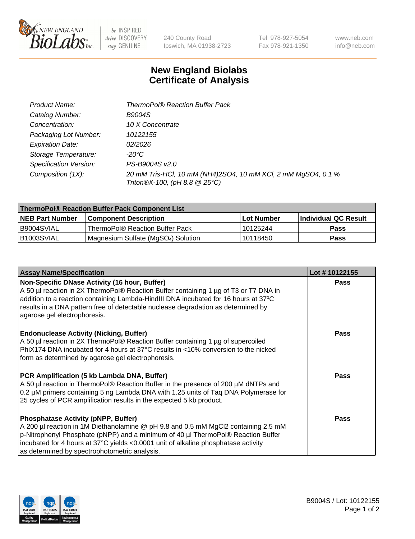

be INSPIRED drive DISCOVERY stay GENUINE

240 County Road Ipswich, MA 01938-2723 Tel 978-927-5054 Fax 978-921-1350

www.neb.com info@neb.com

## **New England Biolabs Certificate of Analysis**

| Product Name:                 | <b>ThermoPol® Reaction Buffer Pack</b>                                                         |
|-------------------------------|------------------------------------------------------------------------------------------------|
| Catalog Number:               | <b>B9004S</b>                                                                                  |
| Concentration:                | 10 X Concentrate                                                                               |
| Packaging Lot Number:         | 10122155                                                                                       |
| <b>Expiration Date:</b>       | 02/2026                                                                                        |
| Storage Temperature:          | -20°C                                                                                          |
| <b>Specification Version:</b> | PS-B9004S v2.0                                                                                 |
| Composition (1X):             | 20 mM Tris-HCl, 10 mM (NH4)2SO4, 10 mM KCl, 2 mM MgSO4, 0.1 %<br>Triton®X-100, (pH 8.8 @ 25°C) |

| ThermoPol® Reaction Buffer Pack Component List |                                                 |             |                             |  |
|------------------------------------------------|-------------------------------------------------|-------------|-----------------------------|--|
| <b>NEB Part Number</b>                         | <b>Component Description</b>                    | ⊺Lot Number | <b>Individual QC Result</b> |  |
| I B9004SVIAL                                   | ThermoPol® Reaction Buffer Pack                 | 10125244    | <b>Pass</b>                 |  |
| IB1003SVIAL                                    | Magnesium Sulfate (MgSO <sub>4</sub> ) Solution | 10118450    | <b>Pass</b>                 |  |

| <b>Assay Name/Specification</b>                                                                                                                                                                                                                                                                                                                             | Lot #10122155 |
|-------------------------------------------------------------------------------------------------------------------------------------------------------------------------------------------------------------------------------------------------------------------------------------------------------------------------------------------------------------|---------------|
| Non-Specific DNase Activity (16 hour, Buffer)<br>A 50 µl reaction in 2X ThermoPol® Reaction Buffer containing 1 µg of T3 or T7 DNA in<br>addition to a reaction containing Lambda-HindIII DNA incubated for 16 hours at 37°C<br>results in a DNA pattern free of detectable nuclease degradation as determined by<br>agarose gel electrophoresis.           | <b>Pass</b>   |
| <b>Endonuclease Activity (Nicking, Buffer)</b><br>A 50 µl reaction in 2X ThermoPol® Reaction Buffer containing 1 µg of supercoiled<br>PhiX174 DNA incubated for 4 hours at 37°C results in <10% conversion to the nicked<br>form as determined by agarose gel electrophoresis.                                                                              | <b>Pass</b>   |
| PCR Amplification (5 kb Lambda DNA, Buffer)<br>A 50 µl reaction in ThermoPol® Reaction Buffer in the presence of 200 µM dNTPs and<br>0.2 µM primers containing 5 ng Lambda DNA with 1.25 units of Tag DNA Polymerase for<br>25 cycles of PCR amplification results in the expected 5 kb product.                                                            | <b>Pass</b>   |
| <b>Phosphatase Activity (pNPP, Buffer)</b><br>A 200 µl reaction in 1M Diethanolamine @ pH 9.8 and 0.5 mM MgCl2 containing 2.5 mM<br>p-Nitrophenyl Phosphate (pNPP) and a minimum of 40 µl ThermoPol® Reaction Buffer<br>incubated for 4 hours at 37°C yields <0.0001 unit of alkaline phosphatase activity<br>as determined by spectrophotometric analysis. | Pass          |